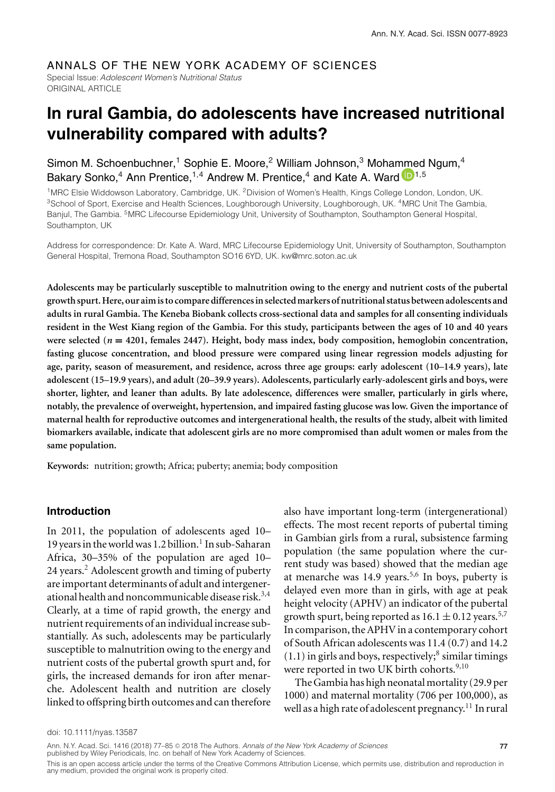## ANNALS OF THE NEW YORK ACADEMY OF SCIENCES

Special Issue:*Adolescent Women's Nutritional Status* ORIGINAL ARTICLE

# **In rural Gambia, do adolescents have increased nutritional vulnerability compared with adults?**

# Simon M. Schoenbuchner,<sup>1</sup> Sophie E. Moore,<sup>2</sup> William Johnson,<sup>3</sup> Moha[mme](http://orcid.org/0000-0001-7034-6750)d Ngum,<sup>4</sup> Bakary Sonko,<sup>4</sup> Ann Prentice,<sup>1,4</sup> Andrew M. Prentice,<sup>4</sup> and Kate A. Ward <sup>1,5</sup>

1MRC Elsie Widdowson Laboratory, Cambridge, UK. 2Division of Women's Health, Kings College London, London, UK. <sup>3</sup>School of Sport, Exercise and Health Sciences, Loughborough University, Loughborough, UK. <sup>4</sup>MRC Unit The Gambia, Banjul, The Gambia. 5MRC Lifecourse Epidemiology Unit, University of Southampton, Southampton General Hospital, Southampton, UK

Address for correspondence: Dr. Kate A. Ward, MRC Lifecourse Epidemiology Unit, University of Southampton, Southampton General Hospital, Tremona Road, Southampton SO16 6YD, UK. kw@mrc.soton.ac.uk

**Adolescents may be particularly susceptible to malnutrition owing to the energy and nutrient costs of the pubertal growth spurt. Here, our aimis to compare differencesin selectedmarkers of nutritional status between adolescents and adults in rural Gambia. The Keneba Biobank collects cross-sectional data and samples for all consenting individuals resident in the West Kiang region of the Gambia. For this study, participants between the ages of 10 and 40 years were selected (***n* **= 4201, females 2447). Height, body mass index, body composition, hemoglobin concentration, fasting glucose concentration, and blood pressure were compared using linear regression models adjusting for age, parity, season of measurement, and residence, across three age groups: early adolescent (10–14.9 years), late adolescent (15–19.9 years), and adult (20–39.9 years). Adolescents, particularly early-adolescent girls and boys, were shorter, lighter, and leaner than adults. By late adolescence, differences were smaller, particularly in girls where, notably, the prevalence of overweight, hypertension, and impaired fasting glucose was low. Given the importance of maternal health for reproductive outcomes and intergenerational health, the results of the study, albeit with limited biomarkers available, indicate that adolescent girls are no more compromised than adult women or males from the same population.**

**Keywords:** nutrition; growth; Africa; puberty; anemia; body composition

#### **Introduction**

In 2011, the population of adolescents aged 10– 19 years in the world was 1.2 billion.<sup>1</sup> In sub-Saharan Africa, 30–35% of the population are aged 10– 24 years.<sup>2</sup> Adolescent growth and timing of puberty are important determinants of adult and intergenerational health and noncommunicable disease risk.<sup>3,4</sup> Clearly, at a time of rapid growth, the energy and nutrient requirements of an individual increase substantially. As such, adolescents may be particularly susceptible to malnutrition owing to the energy and nutrient costs of the pubertal growth spurt and, for girls, the increased demands for iron after menarche. Adolescent health and nutrition are closely linked to offspring birth outcomes and can therefore also have important long-term (intergenerational) effects. The most recent reports of pubertal timing in Gambian girls from a rural, subsistence farming population (the same population where the current study was based) showed that the median age at menarche was  $14.9$  years.<sup>5,6</sup> In boys, puberty is delayed even more than in girls, with age at peak height velocity (APHV) an indicator of the pubertal growth spurt, being reported as  $16.1 \pm 0.12$  years.<sup>5,7</sup> In comparison, the APHV in a contemporary cohort of South African adolescents was 11.4 (0.7) and 14.2  $(1.1)$  in girls and boys, respectively;<sup>8</sup> similar timings were reported in two UK birth cohorts.<sup>9,10</sup>

The Gambia has high neonatal mortality (29.9 per 1000) and maternal mortality (706 per 100,000), as well as a high rate of adolescent pregnancy.<sup>11</sup> In rural

doi: 10.1111/nyas.13587

Ann. N.Y. Acad. Sci. 1416 (2018) 77–85 © 2018 The Authors. *Annals of the New York Academy of Sciences* **77** published by Wiley Periodicals, Inc. on behalf of New York Academy of Sciences.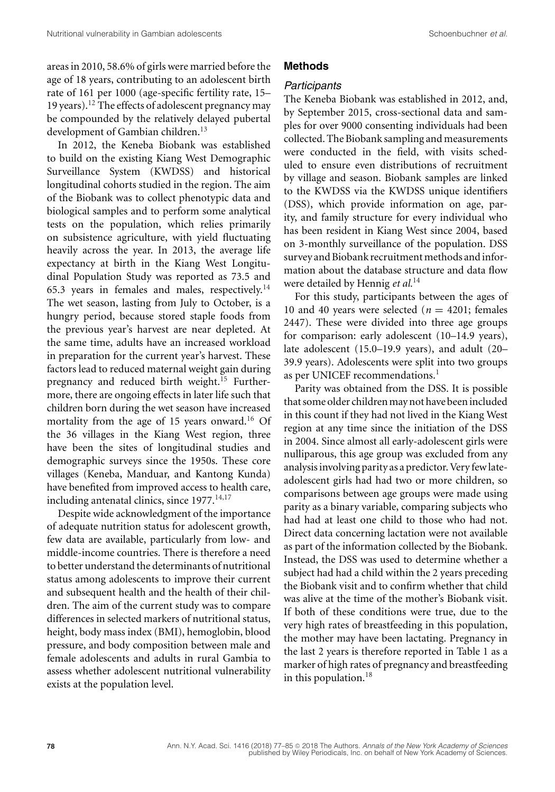areas in 2010, 58.6% of girls were married before the age of 18 years, contributing to an adolescent birth rate of 161 per 1000 (age-specific fertility rate, 15– 19 years).<sup>12</sup> The effects of adolescent pregnancy may be compounded by the relatively delayed pubertal development of Gambian children.<sup>13</sup>

In 2012, the Keneba Biobank was established to build on the existing Kiang West Demographic Surveillance System (KWDSS) and historical longitudinal cohorts studied in the region. The aim of the Biobank was to collect phenotypic data and biological samples and to perform some analytical tests on the population, which relies primarily on subsistence agriculture, with yield fluctuating heavily across the year. In 2013, the average life expectancy at birth in the Kiang West Longitudinal Population Study was reported as 73.5 and 65.3 years in females and males, respectively.<sup>14</sup> The wet season, lasting from July to October, is a hungry period, because stored staple foods from the previous year's harvest are near depleted. At the same time, adults have an increased workload in preparation for the current year's harvest. These factors lead to reduced maternal weight gain during pregnancy and reduced birth weight.<sup>15</sup> Furthermore, there are ongoing effects in later life such that children born during the wet season have increased mortality from the age of 15 years onward.<sup>16</sup> Of the 36 villages in the Kiang West region, three have been the sites of longitudinal studies and demographic surveys since the 1950s. These core villages (Keneba, Manduar, and Kantong Kunda) have benefited from improved access to health care, including antenatal clinics, since 1977.<sup>14,17</sup>

Despite wide acknowledgment of the importance of adequate nutrition status for adolescent growth, few data are available, particularly from low- and middle-income countries. There is therefore a need to better understand the determinants of nutritional status among adolescents to improve their current and subsequent health and the health of their children. The aim of the current study was to compare differences in selected markers of nutritional status, height, body mass index (BMI), hemoglobin, blood pressure, and body composition between male and female adolescents and adults in rural Gambia to assess whether adolescent nutritional vulnerability exists at the population level.

#### **Methods**

#### *Participants*

The Keneba Biobank was established in 2012, and, by September 2015, cross-sectional data and samples for over 9000 consenting individuals had been collected. The Biobank sampling and measurements were conducted in the field, with visits scheduled to ensure even distributions of recruitment by village and season. Biobank samples are linked to the KWDSS via the KWDSS unique identifiers (DSS), which provide information on age, parity, and family structure for every individual who has been resident in Kiang West since 2004, based on 3-monthly surveillance of the population. DSS survey and Biobank recruitment methods and information about the database structure and data flow were detailed by Hennig *et al.*<sup>14</sup>

For this study, participants between the ages of 10 and 40 years were selected ( $n = 4201$ ; females 2447). These were divided into three age groups for comparison: early adolescent (10–14.9 years), late adolescent (15.0–19.9 years), and adult (20– 39.9 years). Adolescents were split into two groups as per UNICEF recommendations.<sup>1</sup>

Parity was obtained from the DSS. It is possible that some older children may not have been included in this count if they had not lived in the Kiang West region at any time since the initiation of the DSS in 2004. Since almost all early-adolescent girls were nulliparous, this age group was excluded from any analysis involving parity as a predictor. Veryfew lateadolescent girls had had two or more children, so comparisons between age groups were made using parity as a binary variable, comparing subjects who had had at least one child to those who had not. Direct data concerning lactation were not available as part of the information collected by the Biobank. Instead, the DSS was used to determine whether a subject had had a child within the 2 years preceding the Biobank visit and to confirm whether that child was alive at the time of the mother's Biobank visit. If both of these conditions were true, due to the very high rates of breastfeeding in this population, the mother may have been lactating. Pregnancy in the last 2 years is therefore reported in Table 1 as a marker of high rates of pregnancy and breastfeeding in this population. $18$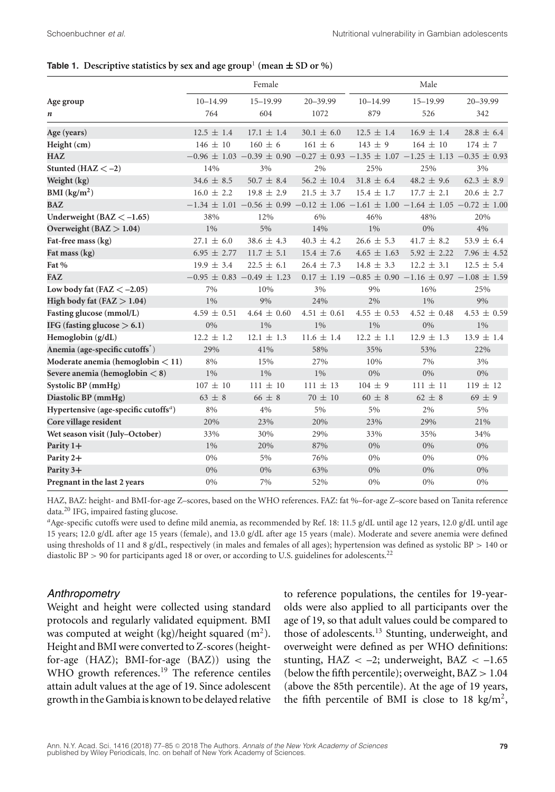#### **Table 1.** Descriptive statistics by sex and age group<sup>1</sup> (mean  $\pm$  SD or %)

|                                                   | Female                          |                 |                 | Male            |                                                                                                       |                 |  |
|---------------------------------------------------|---------------------------------|-----------------|-----------------|-----------------|-------------------------------------------------------------------------------------------------------|-----------------|--|
| Age group                                         | $10 - 14.99$                    | $15 - 19.99$    | $20 - 39.99$    | $10 - 14.99$    | $15 - 19.99$                                                                                          | $20 - 39.99$    |  |
| n                                                 | 764                             | 604             | 1072            | 879             | 526                                                                                                   | 342             |  |
| Age (years)                                       | $12.5 \pm 1.4$                  | $17.1 \pm 1.4$  | $30.1 \pm 6.0$  | $12.5 \pm 1.4$  | $16.9 \pm 1.4$                                                                                        | $28.8 \pm 6.4$  |  |
| Height (cm)                                       | $146 \pm 10$                    | $160 \pm 6$     | $161 \pm 6$     | $143 \pm 9$     | $164 \pm 10$                                                                                          | $174 \pm 7$     |  |
| <b>HAZ</b>                                        |                                 |                 |                 |                 | $-0.96 \pm 1.03$ $-0.39 \pm 0.90$ $-0.27 \pm 0.93$ $-1.35 \pm 1.07$ $-1.25 \pm 1.13$ $-0.35 \pm 0.93$ |                 |  |
| Stunted ( $HAZ < -2$ )                            | 14%                             | 3%              | 2%              | 25%             | 25%                                                                                                   | 3%              |  |
| Weight (kg)                                       | $34.6 \pm 8.5$                  | $50.7 + 8.4$    | $56.2 \pm 10.4$ | $31.8 \pm 6.4$  | $48.2 \pm 9.6$                                                                                        | $62.3 \pm 8.9$  |  |
| BMI (kg/m <sup>2</sup> )                          | $16.0 \pm 2.2$                  | $19.8 \pm 2.9$  | $21.5 \pm 3.7$  | $15.4 \pm 1.7$  | $17.7 \pm 2.1$                                                                                        | $20.6 \pm 2.7$  |  |
| <b>BAZ</b>                                        |                                 |                 |                 |                 | $-1.34 \pm 1.01$ $-0.56 \pm 0.99$ $-0.12 \pm 1.06$ $-1.61 \pm 1.00$ $-1.64 \pm 1.05$ $-0.72 \pm 1.00$ |                 |  |
| Underweight ( $BAZ < -1.65$ )                     | 38%                             | 12%             | 6%              | 46%             | 48%                                                                                                   | 20%             |  |
| Overweight ( $BAZ > 1.04$ )                       | $1\%$                           | 5%              | 14%             | $1\%$           | 0%                                                                                                    | 4%              |  |
| Fat-free mass (kg)                                | $27.1 \pm 6.0$                  | $38.6 \pm 4.3$  | $40.3 \pm 4.2$  | $26.6 \pm 5.3$  | $41.7 \pm 8.2$                                                                                        | 53.9 $\pm$ 6.4  |  |
| Fat mass (kg)                                     | $6.95 \pm 2.77$                 | $11.7 \pm 5.1$  | $15.4 \pm 7.6$  | $4.65 \pm 1.63$ | $5.92 \pm 2.22$                                                                                       | 7.96 $\pm$ 4.52 |  |
| Fat %                                             | $19.9 \pm 3.4$                  | $22.5 \pm 6.1$  | $26.4 \pm 7.3$  | $14.8 \pm 3.3$  | $12.2 \pm 3.1$                                                                                        | $12.5 \pm 5.4$  |  |
| FAZ.                                              | $-0.95 \pm 0.83 -0.49 \pm 1.23$ |                 |                 |                 | $0.17 \pm 1.19 -0.85 \pm 0.90 -1.16 \pm 0.97 -1.08 \pm 1.59$                                          |                 |  |
| Low body fat (FAZ $<-2.05$ )                      | 7%                              | 10%             | $3\%$           | 9%              | 16%                                                                                                   | 25%             |  |
| High body fat (FAZ $> 1.04$ )                     | $1\%$                           | 9%              | 24%             | 2%              | $1\%$                                                                                                 | 9%              |  |
| Fasting glucose (mmol/L)                          | $4.59 \pm 0.51$                 | $4.64 \pm 0.60$ | $4.51 \pm 0.61$ | $4.55 \pm 0.53$ | $4.52 \pm 0.48$                                                                                       | $4.53 \pm 0.59$ |  |
| IFG (fasting glucose $> 6.1$ )                    | $0\%$                           | $1\%$           | $1\%$           | $1\%$           | $0\%$                                                                                                 | $1\%$           |  |
| Hemoglobin $(g/dL)$                               | $12.2 \pm 1.2$                  | $12.1 \pm 1.3$  | $11.6 \pm 1.4$  | $12.2 \pm 1.1$  | $12.9 \pm 1.3$                                                                                        | $13.9 \pm 1.4$  |  |
| Anemia (age-specific cutoffs <sup>*</sup> )       | 29%                             | 41%             | 58%             | 35%             | 53%                                                                                                   | 22%             |  |
| Moderate anemia (hemoglobin $<$ 11)               | 8%                              | 15%             | 27%             | 10%             | 7%                                                                                                    | $3\%$           |  |
| Severe anemia (hemoglobin $<$ 8)                  | $1\%$                           | $1\%$           | $1\%$           | $0\%$           | 0%                                                                                                    | $0\%$           |  |
| Systolic BP (mmHg)                                | $107 + 10$                      | $111 \pm 10$    | $111 \pm 13$    | $104 \pm 9$     | $111 \pm 11$                                                                                          | $119 \pm 12$    |  |
| Diastolic BP (mmHg)                               | $63 \pm 8$                      | $66 \pm 8$      | $70 \pm 10$     | $60 \pm 8$      | $62 \pm 8$                                                                                            | $69 \pm 9$      |  |
| Hypertensive (age-specific cutoffs <sup>a</sup> ) | 8%                              | 4%              | 5%              | 5%              | 2%                                                                                                    | 5%              |  |
| Core village resident                             | 20%                             | 23%             | 20%             | 23%             | 29%                                                                                                   | 21%             |  |
| Wet season visit (July-October)                   | 33%                             | 30%             | 29%             | 33%             | 35%                                                                                                   | 34%             |  |
| Parity 1+                                         | $1\%$                           | 20%             | 87%             | $0\%$           | 0%                                                                                                    | 0%              |  |
| Parity 2+                                         | 0%                              | $5\%$           | 76%             | $0\%$           | $0\%$                                                                                                 | $0\%$           |  |
| Parity 3+                                         | $0\%$                           | 0%              | 63%             | $0\%$           | 0%                                                                                                    | $0\%$           |  |
| Pregnant in the last 2 years                      | $0\%$                           | 7%              | 52%             | 0%              | 0%                                                                                                    | $0\%$           |  |

HAZ, BAZ: height- and BMI-for-age Z–scores, based on the WHO references. FAZ: fat %–for-age Z–score based on Tanita reference data.<sup>20</sup> IFG, impaired fasting glucose.

*<sup>a</sup>*Age-specific cutoffs were used to define mild anemia, as recommended by Ref. 18: 11.5 g/dL until age 12 years, 12.0 g/dL until age 15 years; 12.0 g/dL after age 15 years (female), and 13.0 g/dL after age 15 years (male). Moderate and severe anemia were defined using thresholds of 11 and 8 g/dL, respectively (in males and females of all ages); hypertension was defined as systolic BP *>* 140 or diastolic BP > 90 for participants aged 18 or over, or according to U.S. guidelines for adolescents.<sup>22</sup>

# *Anthropometry*

Weight and height were collected using standard protocols and regularly validated equipment. BMI was computed at weight  $(kg)/height$  squared  $(m<sup>2</sup>)$ . Height and BMI were converted to Z-scores (heightfor-age (HAZ); BMI-for-age (BAZ)) using the WHO growth references.<sup>19</sup> The reference centiles attain adult values at the age of 19. Since adolescent growth in the Gambia is known to be delayed relative

to reference populations, the centiles for 19-yearolds were also applied to all participants over the age of 19, so that adult values could be compared to those of adolescents.<sup>13</sup> Stunting, underweight, and overweight were defined as per WHO definitions: stunting,  $HAZ < -2$ ; underweight,  $BAZ < -1.65$ (below the fifth percentile); overweight, BAZ *>* 1.04 (above the 85th percentile). At the age of 19 years, the fifth percentile of BMI is close to 18 kg/m<sup>2</sup>,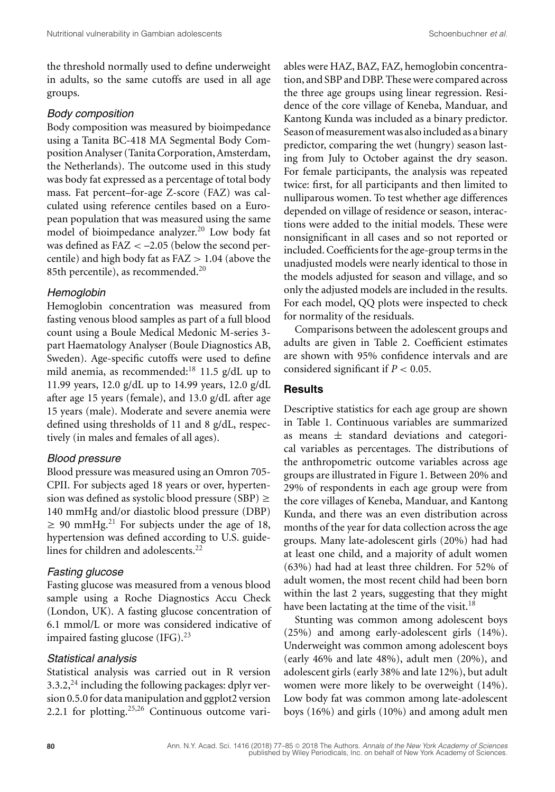the threshold normally used to define underweight in adults, so the same cutoffs are used in all age groups.

#### *Body composition*

Body composition was measured by bioimpedance using a Tanita BC-418 MA Segmental Body Composition Analyser (Tanita Corporation, Amsterdam, the Netherlands). The outcome used in this study was body fat expressed as a percentage of total body mass. Fat percent–for-age Z-score (FAZ) was calculated using reference centiles based on a European population that was measured using the same model of bioimpedance analyzer.<sup>20</sup> Low body fat was defined as FAZ *<* –2.05 (below the second percentile) and high body fat as FAZ *>* 1.04 (above the 85th percentile), as recommended.<sup>20</sup>

## *Hemoglobin*

Hemoglobin concentration was measured from fasting venous blood samples as part of a full blood count using a Boule Medical Medonic M-series 3 part Haematology Analyser (Boule Diagnostics AB, Sweden). Age-specific cutoffs were used to define mild anemia, as recommended:<sup>18</sup> 11.5 g/dL up to 11.99 years, 12.0 g/dL up to 14.99 years, 12.0 g/dL after age 15 years (female), and 13.0 g/dL after age 15 years (male). Moderate and severe anemia were defined using thresholds of 11 and 8 g/dL, respectively (in males and females of all ages).

## *Blood pressure*

Blood pressure was measured using an Omron 705- CPII. For subjects aged 18 years or over, hypertension was defined as systolic blood pressure (SBP)  $\geq$ 140 mmHg and/or diastolic blood pressure (DBP)  $\geq$  90 mmHg.<sup>21</sup> For subjects under the age of 18, hypertension was defined according to U.S. guidelines for children and adolescents. $22$ 

## *Fasting glucose*

Fasting glucose was measured from a venous blood sample using a Roche Diagnostics Accu Check (London, UK). A fasting glucose concentration of 6.1 mmol/L or more was considered indicative of impaired fasting glucose (IFG).<sup>23</sup>

## *Statistical analysis*

Statistical analysis was carried out in R version 3.3.2, $^{24}$  including the following packages: dplyr version 0.5.0 for data manipulation and ggplot2 version 2.2.1 for plotting.25,26 Continuous outcome variables were HAZ, BAZ, FAZ, hemoglobin concentration, and SBP and DBP. These were compared across the three age groups using linear regression. Residence of the core village of Keneba, Manduar, and Kantong Kunda was included as a binary predictor. Season ofmeasurementwas also included as a binary predictor, comparing the wet (hungry) season lasting from July to October against the dry season. For female participants, the analysis was repeated twice: first, for all participants and then limited to nulliparous women. To test whether age differences depended on village of residence or season, interactions were added to the initial models. These were nonsignificant in all cases and so not reported or included. Coefficients for the age-group terms in the unadjusted models were nearly identical to those in the models adjusted for season and village, and so only the adjusted models are included in the results. For each model, QQ plots were inspected to check for normality of the residuals.

Comparisons between the adolescent groups and adults are given in Table 2. Coefficient estimates are shown with 95% confidence intervals and are considered significant if  $P < 0.05$ .

## **Results**

Descriptive statistics for each age group are shown in Table 1. Continuous variables are summarized as means  $\pm$  standard deviations and categorical variables as percentages. The distributions of the anthropometric outcome variables across age groups are illustrated in Figure 1. Between 20% and 29% of respondents in each age group were from the core villages of Keneba, Manduar, and Kantong Kunda, and there was an even distribution across months of the year for data collection across the age groups. Many late-adolescent girls (20%) had had at least one child, and a majority of adult women (63%) had had at least three children. For 52% of adult women, the most recent child had been born within the last 2 years, suggesting that they might have been lactating at the time of the visit.<sup>18</sup>

Stunting was common among adolescent boys (25%) and among early-adolescent girls (14%). Underweight was common among adolescent boys (early 46% and late 48%), adult men (20%), and adolescent girls (early 38% and late 12%), but adult women were more likely to be overweight (14%). Low body fat was common among late-adolescent boys (16%) and girls (10%) and among adult men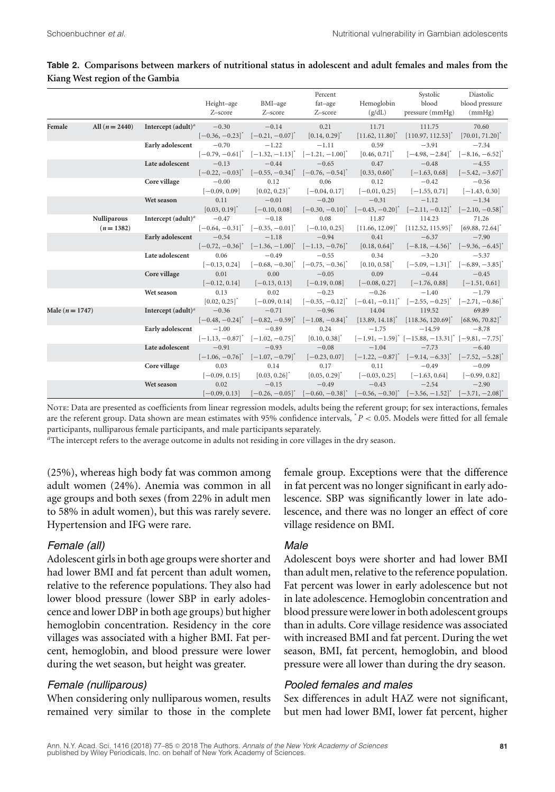## **Table 2. Comparisons between markers of nutritional status in adolescent and adult females and males from the Kiang West region of the Gambia**

|                     |                  |                             | Height-age<br>Z-score                  | BMI-age<br>Z-score                                          | Percent<br>Z-score            | fat-age Hemoglobin<br>(g/dL)  | Systolic<br>blood<br>$pressure (mmHg)$ ( $mmHg$ )                                                                       | Diastolic<br>blood pressure   |
|---------------------|------------------|-----------------------------|----------------------------------------|-------------------------------------------------------------|-------------------------------|-------------------------------|-------------------------------------------------------------------------------------------------------------------------|-------------------------------|
| Female              | All $(n = 2440)$ | Intercept $(adult)^a$       | $-0.30$                                | $-0.14$                                                     | 0.21                          | 11.71                         | 111.75                                                                                                                  | 70.60                         |
|                     |                  |                             | $[-0.36, -0.23]$                       | $[-0.21, -0.07]$ <sup>*</sup>                               | $[0.14, 0.29]$ <sup>*</sup>   | $[11.62, 11.80]$ <sup>*</sup> | $[110.97, 112.53]$ <sup>*</sup>                                                                                         | $[70.01, 71.20]$ <sup>*</sup> |
|                     |                  | Early adolescent            | $-0.70$                                | $-1.22$                                                     | $-1.11$                       | 0.59                          | $-3.91$                                                                                                                 | $-7.34$                       |
|                     |                  |                             |                                        | $[-0.79, -0.61]$ $[-1.32, -1.13]$ $[-1.21, -1.00]$          |                               | $[0.46, 0.71]$ <sup>*</sup>   | $[-4.98, -2.84]$ <sup>*</sup> $[-8.16, -6.52]$ <sup>*</sup>                                                             |                               |
|                     |                  | Late adolescent             | $-0.13$                                | $-0.44$                                                     | $-0.65$                       | 0.47                          | $-0.48$                                                                                                                 | $-4.55$                       |
|                     |                  |                             | $[-0.22, -0.03]$ <sup>*</sup>          | $[-0.55, -0.34]$ <sup>*</sup>                               | $[-0.76, -0.54]$ <sup>*</sup> | $[0.33, 0.60]$ <sup>*</sup>   | $[-1.63, 0.68]$                                                                                                         | $[-5.42, -3.67]$ <sup>*</sup> |
|                     |                  | Core village                | $-0.00$                                | 0.12                                                        | 0.06                          | 0.12                          | $-0.42$                                                                                                                 | $-0.56$                       |
|                     |                  |                             | $[-0.09, 0.09]$                        | $[0.02, 0.23]$ <sup>*</sup>                                 | $[-0.04, 0.17]$               | $[-0.01, 0.25]$               | $[-1.55, 0.71]$                                                                                                         | $[-1.43, 0.30]$               |
|                     |                  | Wet season                  | 0.11                                   | $-0.01$                                                     | $-0.20$                       | $-0.31$                       | $-1.12$                                                                                                                 | $-1.34$                       |
|                     |                  |                             | $\left[0.03, 0.19\right]$ <sup>*</sup> | $[-0.10, 0.08]$                                             | $[-0.30, -0.10]$              | $[-0.43, -0.20]$              | $[-2.11, -0.12]$ $[-2.10, -0.58]$                                                                                       |                               |
|                     | Nulliparous      | Intercept $(adult)^a$       | $-0.47$                                | $-0.18$                                                     | 0.08                          | 11.87                         | 114.23                                                                                                                  | 71.26                         |
|                     | $(n=1382)$       |                             |                                        | $[-0.64, -0.31]$ <sup>*</sup> $[-0.35, -0.01]$ <sup>*</sup> | $[-0.10, 0.25]$               | $[11.66, 12.09]$ <sup>*</sup> | $[112.52, 115.95]$ <sup>*</sup>                                                                                         | $[69.88, 72.64]$ <sup>*</sup> |
|                     |                  | Early adolescent            | $-0.54$                                | $-1.18$                                                     | $-0.94$                       | 0.41                          | $-6.37$                                                                                                                 | $-7.90$                       |
|                     |                  |                             | $[-0.72, -0.36]$ <sup>*</sup>          | $[-1.36, -1.00]$ <sup>*</sup>                               | $[-1.13, -0.76]$ <sup>*</sup> | $[0.18, 0.64]$ <sup>*</sup>   | $[-8.18, -4.56]$ <sup>*</sup> $[-9.36, -6.45]$ <sup>*</sup>                                                             |                               |
|                     |                  | Late adolescent             | 0.06                                   | $-0.49$                                                     | $-0.55$                       | 0.34                          | $-3.20$                                                                                                                 | $-5.37$                       |
|                     |                  |                             | $[-0.13, 0.24]$                        | $[-0.68, -0.30]$ <sup>*</sup>                               | $[-0.75, -0.36]$ <sup>*</sup> | $[0.10, 0.58]$ <sup>*</sup>   | $[-5.09, -1.31]$                                                                                                        | $[-6.89, -3.85]$ <sup>*</sup> |
|                     |                  | Core village                | 0.01                                   | 0.00                                                        | $-0.05$                       | 0.09                          | $-0.44$                                                                                                                 | $-0.45$                       |
|                     |                  |                             | $[-0.12, 0.14]$                        | $[-0.13, 0.13]$                                             | $[-0.19, 0.08]$               | $[-0.08, 0.27]$               | $[-1.76, 0.88]$                                                                                                         | $[-1.51, 0.61]$               |
|                     |                  | Wet season                  | 0.13                                   | 0.02                                                        | $-0.23$                       | $-0.26$                       | $-1.40$                                                                                                                 | $-1.79$                       |
|                     |                  |                             | $[0.02, 0.25]$ <sup>*</sup>            | $[-0.09, 0.14]$                                             | $[-0.35, -0.12]$ <sup>*</sup> | $[-0.41, -0.11]$ <sup>*</sup> | $[-2.55, -0.25]$ <sup>*</sup>                                                                                           | $[-2.71, -0.86]$ <sup>*</sup> |
| Male ( $n = 1747$ ) |                  | Intercept $(adult)^a$ -0.36 |                                        | $-0.71$                                                     | $-0.96$                       | 14.04                         | 119.52                                                                                                                  | 69.89                         |
|                     |                  |                             | $[-0.48, -0.24]$ <sup>*</sup>          | $[-0.82, -0.59]$ <sup>*</sup>                               | $[-1.08, -0.84]$ <sup>*</sup> |                               | $\begin{bmatrix} 13.89, 14.18 \end{bmatrix}^*$ $\begin{bmatrix} 118.36, 120.69 \end{bmatrix}^*$                         | $[68.96, 70.82]$ <sup>*</sup> |
|                     |                  | Early adolescent            | $-1.00$                                | $-0.89$                                                     | 0.24                          | $-1.75$                       | $-14.59$                                                                                                                | $-8.78$                       |
|                     |                  |                             |                                        | $[-1.13, -0.87]$ <sup>*</sup> $[-1.02, -0.75]$ <sup>*</sup> | $[0.10, 0.38]$ <sup>*</sup>   |                               | $[-1.91, -1.59]$ <sup>*</sup> $[-15.88, -13.31]$ <sup>*</sup> $[-9.81, -7.75]$ <sup>*</sup>                             |                               |
|                     |                  | Late adolescent             | $-0.91$                                | $-0.93$                                                     | $-0.08$                       | $-1.04$                       | $-7.73$                                                                                                                 | $-6.40$                       |
|                     |                  |                             | $[-1.06, -0.76]$ <sup>*</sup>          | $[-1.07, -0.79]$ <sup>*</sup>                               | $[-0.23, 0.07]$               |                               | $[-1.22, -0.87]$ <sup>*</sup> $[-9.14, -6.33]$ <sup>*</sup>                                                             | $[-7.52, -5.28]$              |
|                     |                  | Core village                | 0.03                                   | 0.14                                                        | 0.17                          | 0.11                          | $-0.49$                                                                                                                 | $-0.09$                       |
|                     |                  |                             | $[-0.09, 0.15]$                        | $[0.03, 0.26]$ <sup>*</sup>                                 | $[0.05, 0.29]$ <sup>*</sup>   | $[-0.03, 0.25]$               | $[-1.63, 0.64]$                                                                                                         | $[-0.99, 0.82]$               |
|                     |                  | Wet season                  | 0.02                                   | $-0.15$                                                     | $-0.49$                       | $-0.43$                       | $-2.54$                                                                                                                 | $-2.90$                       |
|                     |                  |                             | $[-0.09, 0.13]$                        | $[-0.26, -0.05]$ <sup>*</sup>                               |                               |                               | $[-0.60, -0.38]$ <sup>*</sup> $[-0.56, -0.30]$ <sup>*</sup> $[-3.56, -1.52]$ <sup>*</sup> $[-3.71, -2.08]$ <sup>*</sup> |                               |

Note: Data are presented as coefficients from linear regression models, adults being the referent group; for sex interactions, females are the referent group. Data shown are mean estimates with 95% confidence intervals, \**P <* 0.05. Models were fitted for all female participants, nulliparous female participants, and male participants separately.

<sup>a</sup>The intercept refers to the average outcome in adults not residing in core villages in the dry season.

(25%), whereas high body fat was common among adult women (24%). Anemia was common in all age groups and both sexes (from 22% in adult men to 58% in adult women), but this was rarely severe. Hypertension and IFG were rare.

## *Female (all)*

Adolescent girls in both age groups were shorter and had lower BMI and fat percent than adult women, relative to the reference populations. They also had lower blood pressure (lower SBP in early adolescence and lower DBP in both age groups) but higher hemoglobin concentration. Residency in the core villages was associated with a higher BMI. Fat percent, hemoglobin, and blood pressure were lower during the wet season, but height was greater.

# *Female (nulliparous)*

When considering only nulliparous women, results remained very similar to those in the complete

female group. Exceptions were that the difference in fat percent was no longer significant in early adolescence. SBP was significantly lower in late adolescence, and there was no longer an effect of core village residence on BMI.

## *Male*

Adolescent boys were shorter and had lower BMI than adult men, relative to the reference population. Fat percent was lower in early adolescence but not in late adolescence. Hemoglobin concentration and blood pressure were lower in both adolescent groups than in adults. Core village residence was associated with increased BMI and fat percent. During the wet season, BMI, fat percent, hemoglobin, and blood pressure were all lower than during the dry season.

# *Pooled females and males*

Sex differences in adult HAZ were not significant, but men had lower BMI, lower fat percent, higher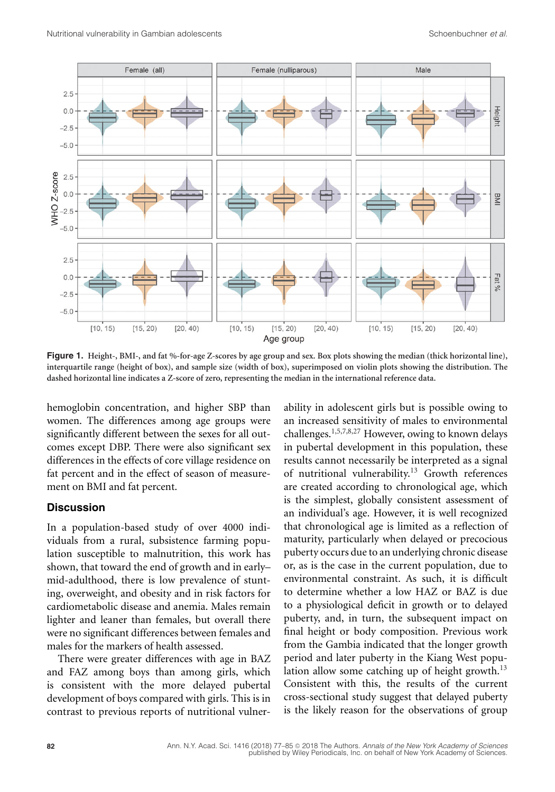

**Figure 1. Height-, BMI-, and fat %-for-age Z-scores by age group and sex. Box plots showing the median (thick horizontal line), interquartile range (height of box), and sample size (width of box), superimposed on violin plots showing the distribution. The dashed horizontal line indicates a Z-score of zero, representing the median in the international reference data.**

hemoglobin concentration, and higher SBP than women. The differences among age groups were significantly different between the sexes for all outcomes except DBP. There were also significant sex differences in the effects of core village residence on fat percent and in the effect of season of measurement on BMI and fat percent.

#### **Discussion**

In a population-based study of over 4000 individuals from a rural, subsistence farming population susceptible to malnutrition, this work has shown, that toward the end of growth and in early– mid-adulthood, there is low prevalence of stunting, overweight, and obesity and in risk factors for cardiometabolic disease and anemia. Males remain lighter and leaner than females, but overall there were no significant differences between females and males for the markers of health assessed.

There were greater differences with age in BAZ and FAZ among boys than among girls, which is consistent with the more delayed pubertal development of boys compared with girls. This is in contrast to previous reports of nutritional vulnerability in adolescent girls but is possible owing to an increased sensitivity of males to environmental challenges.1,5,7,8,27 However, owing to known delays in pubertal development in this population, these results cannot necessarily be interpreted as a signal of nutritional vulnerability.<sup>13</sup> Growth references are created according to chronological age, which is the simplest, globally consistent assessment of an individual's age. However, it is well recognized that chronological age is limited as a reflection of maturity, particularly when delayed or precocious puberty occurs due to an underlying chronic disease or, as is the case in the current population, due to environmental constraint. As such, it is difficult to determine whether a low HAZ or BAZ is due to a physiological deficit in growth or to delayed puberty, and, in turn, the subsequent impact on final height or body composition. Previous work from the Gambia indicated that the longer growth period and later puberty in the Kiang West population allow some catching up of height growth. $^{13}$ Consistent with this, the results of the current cross-sectional study suggest that delayed puberty is the likely reason for the observations of group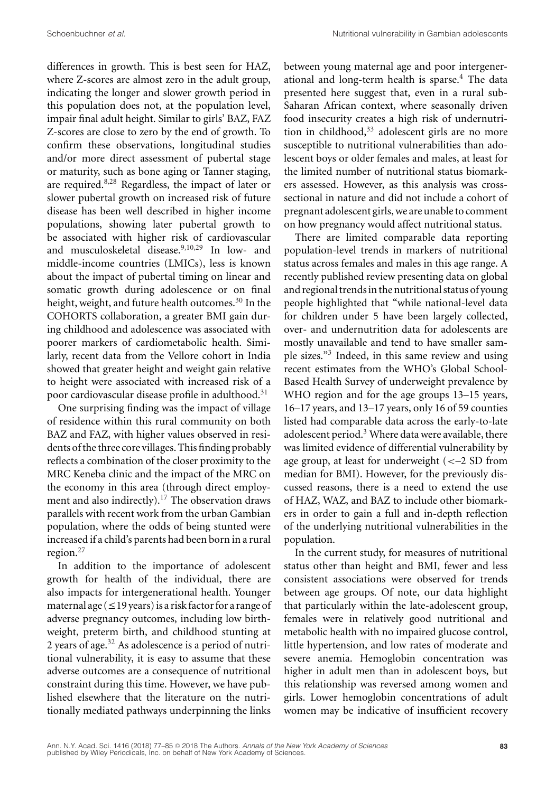differences in growth. This is best seen for HAZ, where Z-scores are almost zero in the adult group, indicating the longer and slower growth period in this population does not, at the population level, impair final adult height. Similar to girls' BAZ, FAZ Z-scores are close to zero by the end of growth. To confirm these observations, longitudinal studies and/or more direct assessment of pubertal stage or maturity, such as bone aging or Tanner staging, are required.8,28 Regardless, the impact of later or slower pubertal growth on increased risk of future disease has been well described in higher income populations, showing later pubertal growth to be associated with higher risk of cardiovascular and musculoskeletal disease.<sup>9,10,29</sup> In low- and middle-income countries (LMICs), less is known about the impact of pubertal timing on linear and somatic growth during adolescence or on final height, weight, and future health outcomes.<sup>30</sup> In the COHORTS collaboration, a greater BMI gain during childhood and adolescence was associated with poorer markers of cardiometabolic health. Similarly, recent data from the Vellore cohort in India showed that greater height and weight gain relative to height were associated with increased risk of a poor cardiovascular disease profile in adulthood.<sup>31</sup>

One surprising finding was the impact of village of residence within this rural community on both BAZ and FAZ, with higher values observed in residents of the three core villages. This finding probably reflects a combination of the closer proximity to the MRC Keneba clinic and the impact of the MRC on the economy in this area (through direct employment and also indirectly).<sup>17</sup> The observation draws parallels with recent work from the urban Gambian population, where the odds of being stunted were increased if a child's parents had been born in a rural region.<sup>27</sup>

In addition to the importance of adolescent growth for health of the individual, there are also impacts for intergenerational health. Younger maternal age ( $\leq$ 19 years) is a risk factor for a range of adverse pregnancy outcomes, including low birthweight, preterm birth, and childhood stunting at 2 years of age. $32$  As adolescence is a period of nutritional vulnerability, it is easy to assume that these adverse outcomes are a consequence of nutritional constraint during this time. However, we have published elsewhere that the literature on the nutritionally mediated pathways underpinning the links between young maternal age and poor intergenerational and long-term health is sparse. $4$  The data presented here suggest that, even in a rural sub-Saharan African context, where seasonally driven food insecurity creates a high risk of undernutrition in childhood, $33$  adolescent girls are no more susceptible to nutritional vulnerabilities than adolescent boys or older females and males, at least for the limited number of nutritional status biomarkers assessed. However, as this analysis was crosssectional in nature and did not include a cohort of pregnant adolescent girls, we are unable to comment on how pregnancy would affect nutritional status.

There are limited comparable data reporting population-level trends in markers of nutritional status across females and males in this age range. A recently published review presenting data on global and regional trends in the nutritional status of young people highlighted that "while national-level data for children under 5 have been largely collected, over- and undernutrition data for adolescents are mostly unavailable and tend to have smaller sample sizes."3 Indeed, in this same review and using recent estimates from the WHO's Global School-Based Health Survey of underweight prevalence by WHO region and for the age groups 13–15 years, 16–17 years, and 13–17 years, only 16 of 59 counties listed had comparable data across the early-to-late adolescent period. $3$  Where data were available, there was limited evidence of differential vulnerability by age group, at least for underweight (*<*–2 SD from median for BMI). However, for the previously discussed reasons, there is a need to extend the use of HAZ, WAZ, and BAZ to include other biomarkers in order to gain a full and in-depth reflection of the underlying nutritional vulnerabilities in the population.

In the current study, for measures of nutritional status other than height and BMI, fewer and less consistent associations were observed for trends between age groups. Of note, our data highlight that particularly within the late-adolescent group, females were in relatively good nutritional and metabolic health with no impaired glucose control, little hypertension, and low rates of moderate and severe anemia. Hemoglobin concentration was higher in adult men than in adolescent boys, but this relationship was reversed among women and girls. Lower hemoglobin concentrations of adult women may be indicative of insufficient recovery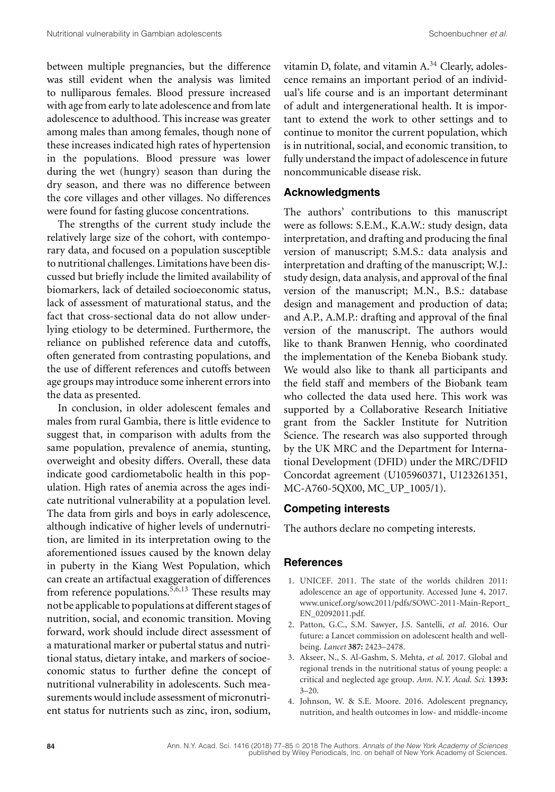between multiple pregnancies, but the difference was still evident when the analysis was limited to nulliparous females. Blood pressure increased with age from early to late adolescence and from late adolescence to adulthood. This increase was greater among males than among females, though none of these increases indicated high rates of hypertension in the populations. Blood pressure was lower during the wet (hungry) season than during the dry season, and there was no difference between the core villages and other villages. No differences were found for fasting glucose concentrations.

The strengths of the current study include the relatively large size of the cohort, with contemporary data, and focused on a population susceptible to nutritional challenges. Limitations have been discussed but briefly include the limited availability of biomarkers, lack of detailed socioeconomic status, lack of assessment of maturational status, and the fact that cross-sectional data do not allow underlying etiology to be determined. Furthermore, the reliance on published reference data and cutoffs, often generated from contrasting populations, and the use of different references and cutoffs between age groups may introduce some inherent errors into the data as presented.

In conclusion, in older adolescent females and males from rural Gambia, there is little evidence to suggest that, in comparison with adults from the same population, prevalence of anemia, stunting, overweight and obesity differs. Overall, these data indicate good cardiometabolic health in this population. High rates of anemia across the ages indicate nutritional vulnerability at a population level. The data from girls and boys in early adolescence, although indicative of higher levels of undernutrition, are limited in its interpretation owing to the aforementioned issues caused by the known delay in puberty in the Kiang West Population, which can create an artifactual exaggeration of differences from reference populations.5,6,13 These results may not be applicable to populations at different stages of nutrition, social, and economic transition. Moving forward, work should include direct assessment of a maturational marker or pubertal status and nutritional status, dietary intake, and markers of socioeconomic status to further define the concept of nutritional vulnerability in adolescents. Such measurements would include assessment of micronutrient status for nutrients such as zinc, iron, sodium,

vitamin D, folate, and vitamin A.<sup>34</sup> Clearly, adolescence remains an important period of an individual's life course and is an important determinant of adult and intergenerational health. It is important to extend the work to other settings and to continue to monitor the current population, which is in nutritional, social, and economic transition, to fully understand the impact of adolescence in future noncommunicable disease risk.

#### **Acknowledgments**

The authors' contributions to this manuscript were as follows: S.E.M., K.A.W.: study design, data interpretation, and drafting and producing the final version of manuscript; S.M.S.: data analysis and interpretation and drafting of the manuscript; W.J.: study design, data analysis, and approval of the final version of the manuscript; M.N., B.S.: database design and management and production of data; and A.P., A.M.P.: drafting and approval of the final version of the manuscript. The authors would like to thank Branwen Hennig, who coordinated the implementation of the Keneba Biobank study. We would also like to thank all participants and the field staff and members of the Biobank team who collected the data used here. This work was supported by a Collaborative Research Initiative grant from the Sackler Institute for Nutrition Science. The research was also supported through by the UK MRC and the Department for International Development (DFID) under the MRC/DFID Concordat agreement (U105960371, U123261351, MC-A760-5QX00, MC\_UP\_1005/1).

#### **Competing interests**

The authors declare no competing interests.

#### **References**

- 1. UNICEF. 2011. The state of the worlds children 2011: adolescence an age of opportunity. Accessed June 4, 2017. [www.unicef.org/sowc2011/pdfs/SOWC-2011-Main-Report\\_](http://www.unicef.org/sowc2011/pdfs/SOWC-2011-Main-Report_EN_02092011.pdf) [EN\\_02092011.pdf.](http://www.unicef.org/sowc2011/pdfs/SOWC-2011-Main-Report_EN_02092011.pdf)
- 2. Patton, G.C., S.M. Sawyer, J.S. Santelli, *et al*. 2016. Our future: a Lancet commission on adolescent health and wellbeing. *Lancet* **387:** 2423–2478.
- 3. Akseer, N., S. Al-Gashm, S. Mehta, *et al*. 2017. Global and regional trends in the nutritional status of young people: a critical and neglected age group. *Ann. N.Y. Acad. Sci.* **1393:**  $3 - 20.$
- 4. Johnson, W. & S.E. Moore. 2016. Adolescent pregnancy, nutrition, and health outcomes in low- and middle-income